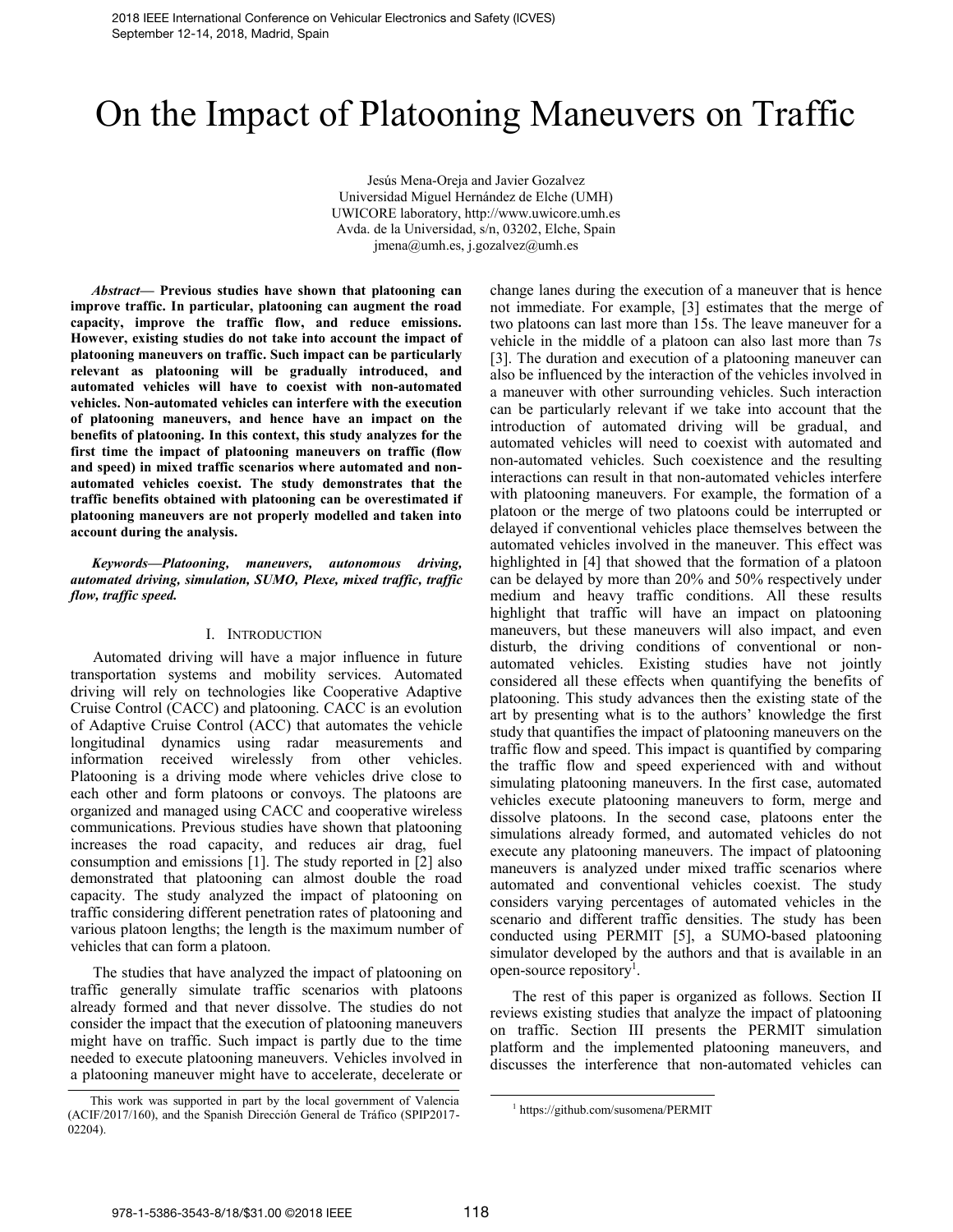# On the Impact of Platooning Maneuvers on Traffic

Jesús Mena-Oreja and Javier Gozalvez Universidad Miguel Hernández de Elche (UMH) UWICORE laboratory, http://www.uwicore.umh.es Avda. de la Universidad, s/n, 03202, Elche, Spain jmena@umh.es, j.gozalvez@umh.es

*Abstract***— Previous studies have shown that platooning can improve traffic. In particular, platooning can augment the road capacity, improve the traffic flow, and reduce emissions. However, existing studies do not take into account the impact of platooning maneuvers on traffic. Such impact can be particularly relevant as platooning will be gradually introduced, and automated vehicles will have to coexist with non-automated vehicles. Non-automated vehicles can interfere with the execution of platooning maneuvers, and hence have an impact on the benefits of platooning. In this context, this study analyzes for the first time the impact of platooning maneuvers on traffic (flow and speed) in mixed traffic scenarios where automated and nonautomated vehicles coexist. The study demonstrates that the traffic benefits obtained with platooning can be overestimated if platooning maneuvers are not properly modelled and taken into account during the analysis.** 

*Keywords—Platooning, maneuvers, autonomous driving, automated driving, simulation, SUMO, Plexe, mixed traffic, traffic flow, traffic speed.*

# I. INTRODUCTION

Automated driving will have a major influence in future transportation systems and mobility services. Automated driving will rely on technologies like Cooperative Adaptive Cruise Control (CACC) and platooning. CACC is an evolution of Adaptive Cruise Control (ACC) that automates the vehicle longitudinal dynamics using radar measurements and information received wirelessly from other vehicles. Platooning is a driving mode where vehicles drive close to each other and form platoons or convoys. The platoons are organized and managed using CACC and cooperative wireless communications. Previous studies have shown that platooning increases the road capacity, and reduces air drag, fuel consumption and emissions [1]. The study reported in [2] also demonstrated that platooning can almost double the road capacity. The study analyzed the impact of platooning on traffic considering different penetration rates of platooning and various platoon lengths; the length is the maximum number of vehicles that can form a platoon.

The studies that have analyzed the impact of platooning on traffic generally simulate traffic scenarios with platoons already formed and that never dissolve. The studies do not consider the impact that the execution of platooning maneuvers might have on traffic. Such impact is partly due to the time needed to execute platooning maneuvers. Vehicles involved in a platooning maneuver might have to accelerate, decelerate or

change lanes during the execution of a maneuver that is hence not immediate. For example, [3] estimates that the merge of two platoons can last more than 15s. The leave maneuver for a vehicle in the middle of a platoon can also last more than 7s [3]. The duration and execution of a platooning maneuver can also be influenced by the interaction of the vehicles involved in a maneuver with other surrounding vehicles. Such interaction can be particularly relevant if we take into account that the introduction of automated driving will be gradual, and automated vehicles will need to coexist with automated and non-automated vehicles. Such coexistence and the resulting interactions can result in that non-automated vehicles interfere with platooning maneuvers. For example, the formation of a platoon or the merge of two platoons could be interrupted or delayed if conventional vehicles place themselves between the automated vehicles involved in the maneuver. This effect was highlighted in [4] that showed that the formation of a platoon can be delayed by more than 20% and 50% respectively under medium and heavy traffic conditions. All these results highlight that traffic will have an impact on platooning maneuvers, but these maneuvers will also impact, and even disturb, the driving conditions of conventional or nonautomated vehicles. Existing studies have not jointly considered all these effects when quantifying the benefits of platooning. This study advances then the existing state of the art by presenting what is to the authors' knowledge the first study that quantifies the impact of platooning maneuvers on the traffic flow and speed. This impact is quantified by comparing the traffic flow and speed experienced with and without simulating platooning maneuvers. In the first case, automated vehicles execute platooning maneuvers to form, merge and dissolve platoons. In the second case, platoons enter the simulations already formed, and automated vehicles do not execute any platooning maneuvers. The impact of platooning maneuvers is analyzed under mixed traffic scenarios where automated and conventional vehicles coexist. The study considers varying percentages of automated vehicles in the scenario and different traffic densities. The study has been conducted using PERMIT [5], a SUMO-based platooning simulator developed by the authors and that is available in an open-source repository<sup>1</sup>.

The rest of this paper is organized as follows. Section II reviews existing studies that analyze the impact of platooning on traffic. Section III presents the PERMIT simulation platform and the implemented platooning maneuvers, and discusses the interference that non-automated vehicles can

This work was supported in part by the local government of Valencia (ACIF/2017/160), and the Spanish Dirección General de Tráfico (SPIP2017- 02204).

<sup>1</sup> https://github.com/susomena/PERMIT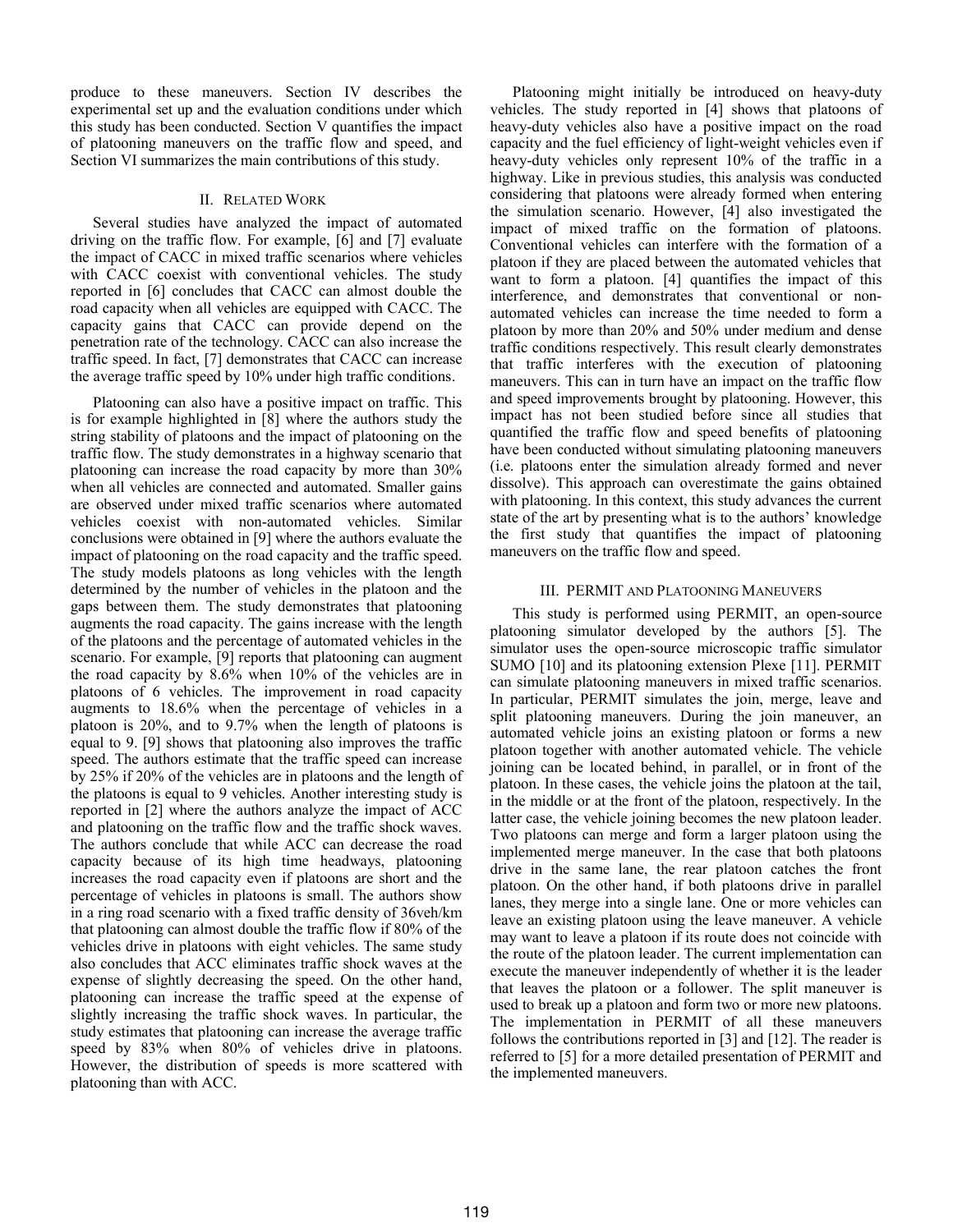produce to these maneuvers. Section IV describes the experimental set up and the evaluation conditions under which this study has been conducted. Section V quantifies the impact of platooning maneuvers on the traffic flow and speed, and Section VI summarizes the main contributions of this study.

## II. RELATED WORK

Several studies have analyzed the impact of automated driving on the traffic flow. For example, [6] and [7] evaluate the impact of CACC in mixed traffic scenarios where vehicles with CACC coexist with conventional vehicles. The study reported in [6] concludes that CACC can almost double the road capacity when all vehicles are equipped with CACC. The capacity gains that CACC can provide depend on the penetration rate of the technology. CACC can also increase the traffic speed. In fact, [7] demonstrates that CACC can increase the average traffic speed by 10% under high traffic conditions.

Platooning can also have a positive impact on traffic. This is for example highlighted in [8] where the authors study the string stability of platoons and the impact of platooning on the traffic flow. The study demonstrates in a highway scenario that platooning can increase the road capacity by more than 30% when all vehicles are connected and automated. Smaller gains are observed under mixed traffic scenarios where automated vehicles coexist with non-automated vehicles. Similar conclusions were obtained in [9] where the authors evaluate the impact of platooning on the road capacity and the traffic speed. The study models platoons as long vehicles with the length determined by the number of vehicles in the platoon and the gaps between them. The study demonstrates that platooning augments the road capacity. The gains increase with the length of the platoons and the percentage of automated vehicles in the scenario. For example, [9] reports that platooning can augment the road capacity by 8.6% when 10% of the vehicles are in platoons of 6 vehicles. The improvement in road capacity augments to 18.6% when the percentage of vehicles in a platoon is 20%, and to 9.7% when the length of platoons is equal to 9. [9] shows that platooning also improves the traffic speed. The authors estimate that the traffic speed can increase by 25% if 20% of the vehicles are in platoons and the length of the platoons is equal to 9 vehicles. Another interesting study is reported in [2] where the authors analyze the impact of ACC and platooning on the traffic flow and the traffic shock waves. The authors conclude that while ACC can decrease the road capacity because of its high time headways, platooning increases the road capacity even if platoons are short and the percentage of vehicles in platoons is small. The authors show in a ring road scenario with a fixed traffic density of 36veh/km that platooning can almost double the traffic flow if 80% of the vehicles drive in platoons with eight vehicles. The same study also concludes that ACC eliminates traffic shock waves at the expense of slightly decreasing the speed. On the other hand, platooning can increase the traffic speed at the expense of slightly increasing the traffic shock waves. In particular, the study estimates that platooning can increase the average traffic speed by 83% when 80% of vehicles drive in platoons. However, the distribution of speeds is more scattered with platooning than with ACC.

Platooning might initially be introduced on heavy-duty vehicles. The study reported in [4] shows that platoons of heavy-duty vehicles also have a positive impact on the road capacity and the fuel efficiency of light-weight vehicles even if heavy-duty vehicles only represent 10% of the traffic in a highway. Like in previous studies, this analysis was conducted considering that platoons were already formed when entering the simulation scenario. However, [4] also investigated the impact of mixed traffic on the formation of platoons. Conventional vehicles can interfere with the formation of a platoon if they are placed between the automated vehicles that want to form a platoon. [4] quantifies the impact of this interference, and demonstrates that conventional or nonautomated vehicles can increase the time needed to form a platoon by more than 20% and 50% under medium and dense traffic conditions respectively. This result clearly demonstrates that traffic interferes with the execution of platooning maneuvers. This can in turn have an impact on the traffic flow and speed improvements brought by platooning. However, this impact has not been studied before since all studies that quantified the traffic flow and speed benefits of platooning have been conducted without simulating platooning maneuvers (i.e. platoons enter the simulation already formed and never dissolve). This approach can overestimate the gains obtained with platooning. In this context, this study advances the current state of the art by presenting what is to the authors' knowledge the first study that quantifies the impact of platooning maneuvers on the traffic flow and speed.

### III. PERMIT AND PLATOONING MANEUVERS

This study is performed using PERMIT, an open-source platooning simulator developed by the authors [5]. The simulator uses the open-source microscopic traffic simulator SUMO [10] and its platooning extension Plexe [11]. PERMIT can simulate platooning maneuvers in mixed traffic scenarios. In particular, PERMIT simulates the join, merge, leave and split platooning maneuvers. During the join maneuver, an automated vehicle joins an existing platoon or forms a new platoon together with another automated vehicle. The vehicle joining can be located behind, in parallel, or in front of the platoon. In these cases, the vehicle joins the platoon at the tail, in the middle or at the front of the platoon, respectively. In the latter case, the vehicle joining becomes the new platoon leader. Two platoons can merge and form a larger platoon using the implemented merge maneuver. In the case that both platoons drive in the same lane, the rear platoon catches the front platoon. On the other hand, if both platoons drive in parallel lanes, they merge into a single lane. One or more vehicles can leave an existing platoon using the leave maneuver. A vehicle may want to leave a platoon if its route does not coincide with the route of the platoon leader. The current implementation can execute the maneuver independently of whether it is the leader that leaves the platoon or a follower. The split maneuver is used to break up a platoon and form two or more new platoons. The implementation in PERMIT of all these maneuvers follows the contributions reported in [3] and [12]. The reader is referred to [5] for a more detailed presentation of PERMIT and the implemented maneuvers.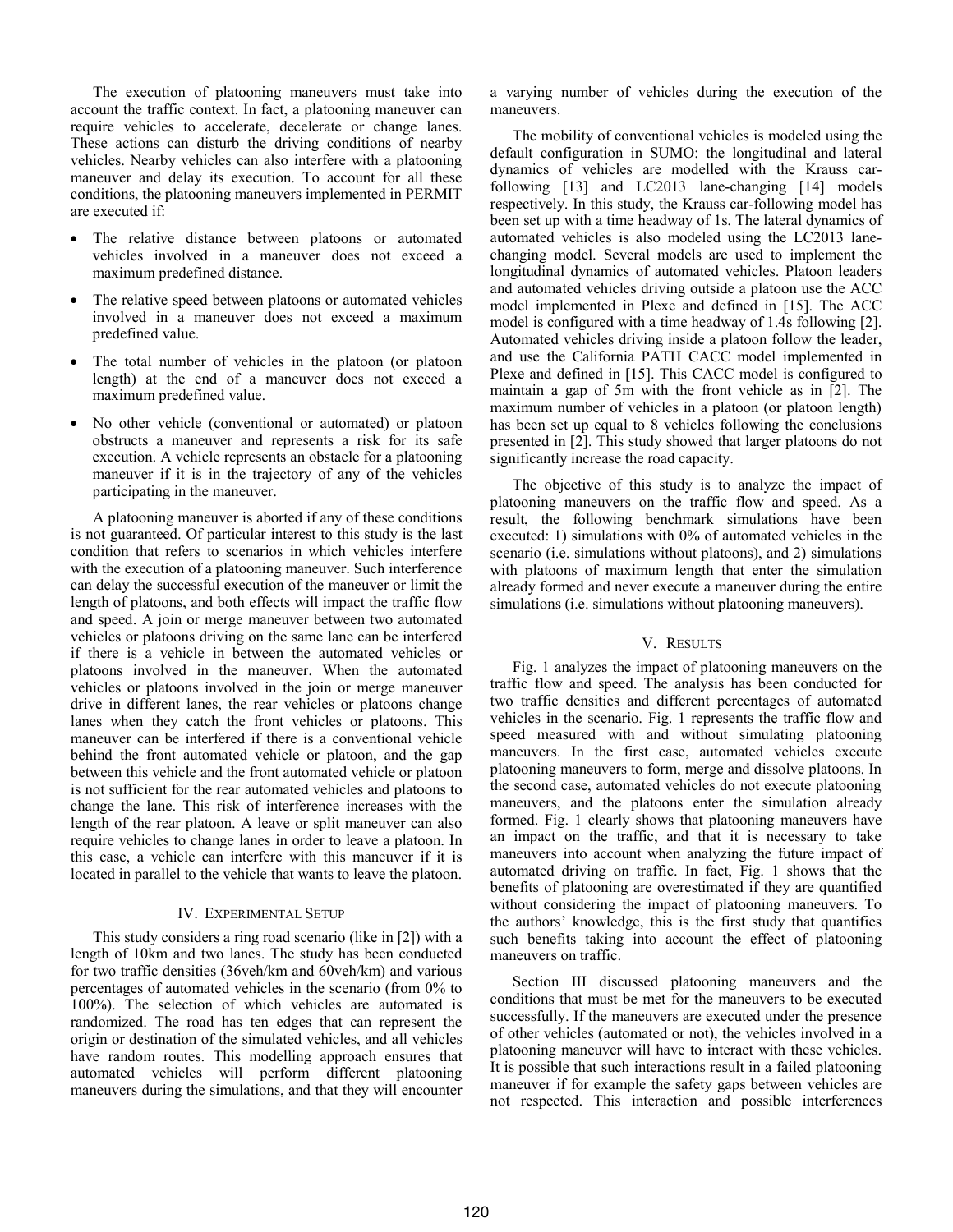The execution of platooning maneuvers must take into account the traffic context. In fact, a platooning maneuver can require vehicles to accelerate, decelerate or change lanes. These actions can disturb the driving conditions of nearby vehicles. Nearby vehicles can also interfere with a platooning maneuver and delay its execution. To account for all these conditions, the platooning maneuvers implemented in PERMIT are executed if:

- The relative distance between platoons or automated vehicles involved in a maneuver does not exceed a maximum predefined distance.
- The relative speed between platoons or automated vehicles involved in a maneuver does not exceed a maximum predefined value.
- The total number of vehicles in the platoon (or platoon length) at the end of a maneuver does not exceed a maximum predefined value.
- No other vehicle (conventional or automated) or platoon obstructs a maneuver and represents a risk for its safe execution. A vehicle represents an obstacle for a platooning maneuver if it is in the trajectory of any of the vehicles participating in the maneuver.

A platooning maneuver is aborted if any of these conditions is not guaranteed. Of particular interest to this study is the last condition that refers to scenarios in which vehicles interfere with the execution of a platooning maneuver. Such interference can delay the successful execution of the maneuver or limit the length of platoons, and both effects will impact the traffic flow and speed. A join or merge maneuver between two automated vehicles or platoons driving on the same lane can be interfered if there is a vehicle in between the automated vehicles or platoons involved in the maneuver. When the automated vehicles or platoons involved in the join or merge maneuver drive in different lanes, the rear vehicles or platoons change lanes when they catch the front vehicles or platoons. This maneuver can be interfered if there is a conventional vehicle behind the front automated vehicle or platoon, and the gap between this vehicle and the front automated vehicle or platoon is not sufficient for the rear automated vehicles and platoons to change the lane. This risk of interference increases with the length of the rear platoon. A leave or split maneuver can also require vehicles to change lanes in order to leave a platoon. In this case, a vehicle can interfere with this maneuver if it is located in parallel to the vehicle that wants to leave the platoon.

# IV. EXPERIMENTAL SETUP

This study considers a ring road scenario (like in [2]) with a length of 10km and two lanes. The study has been conducted for two traffic densities (36veh/km and 60veh/km) and various percentages of automated vehicles in the scenario (from 0% to 100%). The selection of which vehicles are automated is randomized. The road has ten edges that can represent the origin or destination of the simulated vehicles, and all vehicles have random routes. This modelling approach ensures that automated vehicles will perform different platooning maneuvers during the simulations, and that they will encounter

a varying number of vehicles during the execution of the maneuvers.

The mobility of conventional vehicles is modeled using the default configuration in SUMO: the longitudinal and lateral dynamics of vehicles are modelled with the Krauss carfollowing [13] and LC2013 lane-changing [14] models respectively. In this study, the Krauss car-following model has been set up with a time headway of 1s. The lateral dynamics of automated vehicles is also modeled using the LC2013 lanechanging model. Several models are used to implement the longitudinal dynamics of automated vehicles. Platoon leaders and automated vehicles driving outside a platoon use the ACC model implemented in Plexe and defined in [15]. The ACC model is configured with a time headway of 1.4s following [2]. Automated vehicles driving inside a platoon follow the leader, and use the California PATH CACC model implemented in Plexe and defined in [15]. This CACC model is configured to maintain a gap of 5m with the front vehicle as in [2]. The maximum number of vehicles in a platoon (or platoon length) has been set up equal to 8 vehicles following the conclusions presented in [2]. This study showed that larger platoons do not significantly increase the road capacity.

The objective of this study is to analyze the impact of platooning maneuvers on the traffic flow and speed. As a result, the following benchmark simulations have been executed: 1) simulations with 0% of automated vehicles in the scenario (i.e. simulations without platoons), and 2) simulations with platoons of maximum length that enter the simulation already formed and never execute a maneuver during the entire simulations (i.e. simulations without platooning maneuvers).

### V. RESULTS

Fig. 1 analyzes the impact of platooning maneuvers on the traffic flow and speed. The analysis has been conducted for two traffic densities and different percentages of automated vehicles in the scenario. Fig. 1 represents the traffic flow and speed measured with and without simulating platooning maneuvers. In the first case, automated vehicles execute platooning maneuvers to form, merge and dissolve platoons. In the second case, automated vehicles do not execute platooning maneuvers, and the platoons enter the simulation already formed. Fig. 1 clearly shows that platooning maneuvers have an impact on the traffic, and that it is necessary to take maneuvers into account when analyzing the future impact of automated driving on traffic. In fact, Fig. 1 shows that the benefits of platooning are overestimated if they are quantified without considering the impact of platooning maneuvers. To the authors' knowledge, this is the first study that quantifies such benefits taking into account the effect of platooning maneuvers on traffic.

Section III discussed platooning maneuvers and the conditions that must be met for the maneuvers to be executed successfully. If the maneuvers are executed under the presence of other vehicles (automated or not), the vehicles involved in a platooning maneuver will have to interact with these vehicles. It is possible that such interactions result in a failed platooning maneuver if for example the safety gaps between vehicles are not respected. This interaction and possible interferences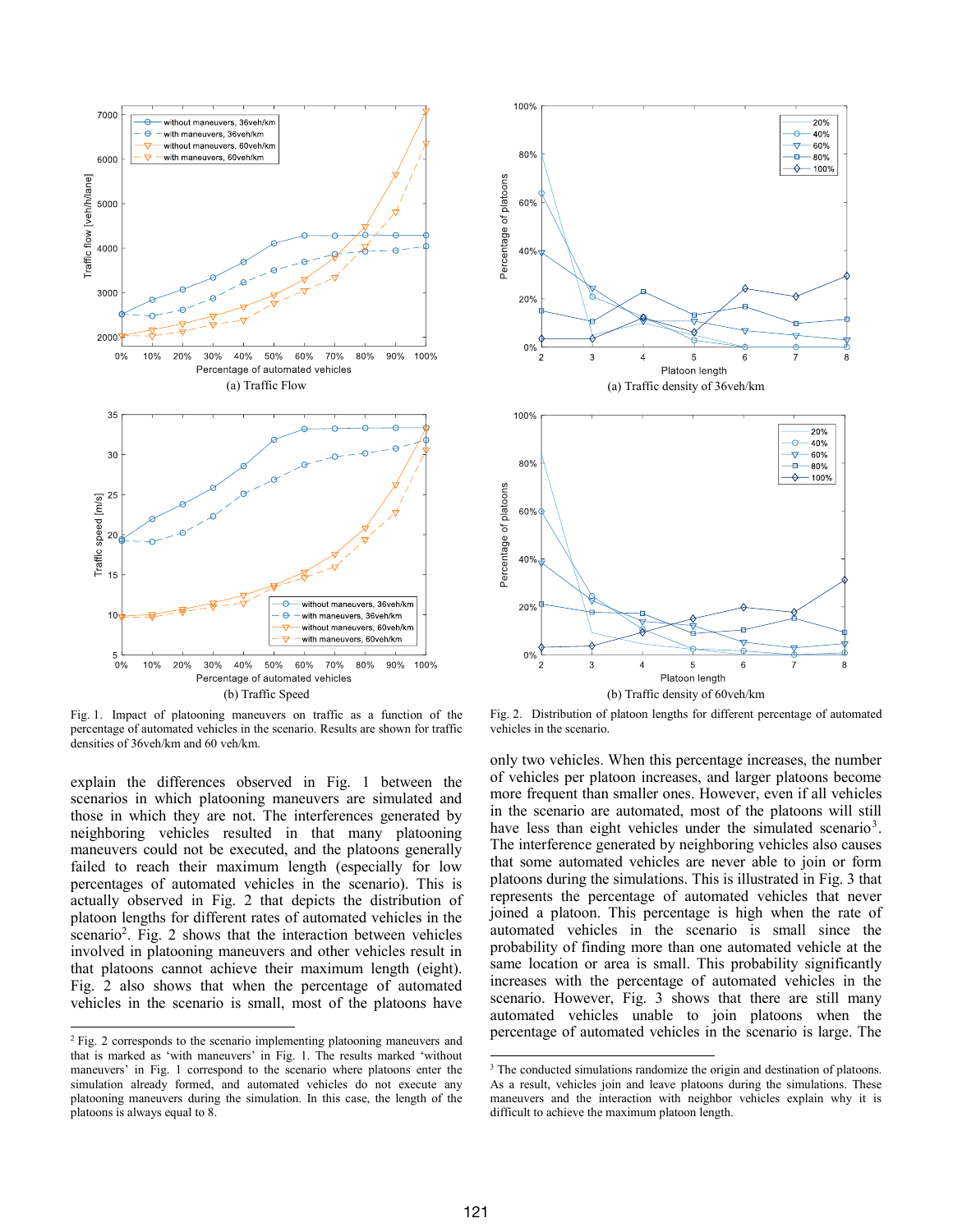

Fig. 1. Impact of platooning maneuvers on traffic as a function of the percentage of automated vehicles in the scenario. Results are shown for traffic densities of 36veh/km and 60 veh/km.

explain the differences observed in Fig. 1 between the scenarios in which platooning maneuvers are simulated and those in which they are not. The interferences generated by neighboring vehicles resulted in that many platooning maneuvers could not be executed, and the platoons generally failed to reach their maximum length (especially for low percentages of automated vehicles in the scenario). This is actually observed in Fig. 2 that depicts the distribution of platoon lengths for different rates of automated vehicles in the scenario<sup>2</sup>. Fig. 2 shows that the interaction between vehicles involved in platooning maneuvers and other vehicles result in that platoons cannot achieve their maximum length (eight). Fig. 2 also shows that when the percentage of automated vehicles in the scenario is small, most of the platoons have

l



Fig. 2. Distribution of platoon lengths for different percentage of automated vehicles in the scenario.

only two vehicles. When this percentage increases, the number of vehicles per platoon increases, and larger platoons become more frequent than smaller ones. However, even if all vehicles in the scenario are automated, most of the platoons will still have less than eight vehicles under the simulated scenario<sup>3</sup>. The interference generated by neighboring vehicles also causes that some automated vehicles are never able to join or form platoons during the simulations. This is illustrated in Fig. 3 that represents the percentage of automated vehicles that never joined a platoon. This percentage is high when the rate of automated vehicles in the scenario is small since the probability of finding more than one automated vehicle at the same location or area is small. This probability significantly increases with the percentage of automated vehicles in the scenario. However, Fig. 3 shows that there are still many automated vehicles unable to join platoons when the percentage of automated vehicles in the scenario is large. The

l

<sup>&</sup>lt;sup>2</sup> Fig. 2 corresponds to the scenario implementing platooning maneuvers and that is marked as 'with maneuvers' in Fig. 1. The results marked 'without maneuvers' in Fig. 1 correspond to the scenario where platoons enter the simulation already formed, and automated vehicles do not execute any platooning maneuvers during the simulation. In this case, the length of the platoons is always equal to 8.

<sup>&</sup>lt;sup>3</sup> The conducted simulations randomize the origin and destination of platoons. As a result, vehicles join and leave platoons during the simulations. These maneuvers and the interaction with neighbor vehicles explain why it is difficult to achieve the maximum platoon length.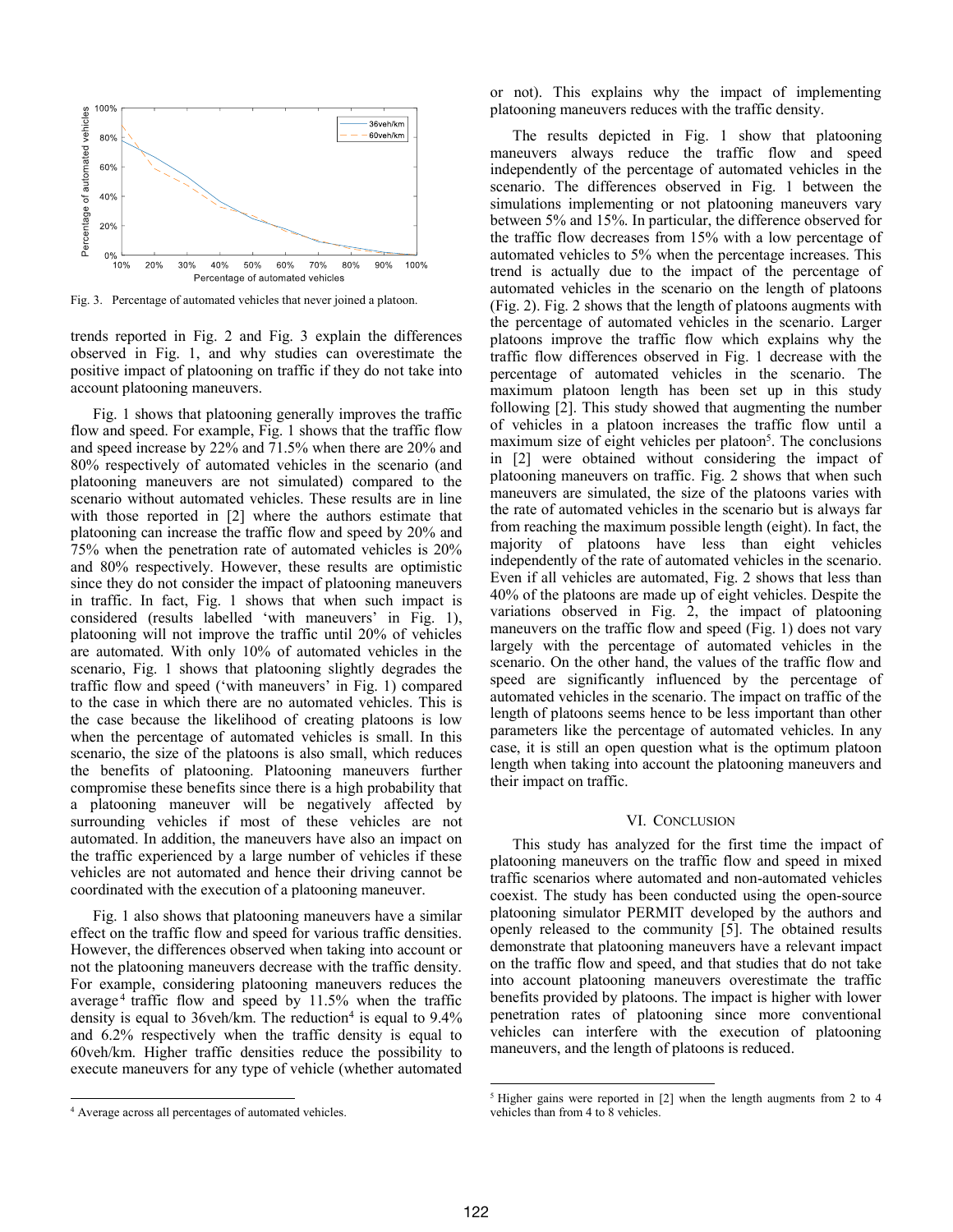

Fig. 3. Percentage of automated vehicles that never joined a platoon.

trends reported in Fig. 2 and Fig. 3 explain the differences observed in Fig. 1, and why studies can overestimate the positive impact of platooning on traffic if they do not take into account platooning maneuvers.

Fig. 1 shows that platooning generally improves the traffic flow and speed. For example, Fig. 1 shows that the traffic flow and speed increase by 22% and 71.5% when there are 20% and 80% respectively of automated vehicles in the scenario (and platooning maneuvers are not simulated) compared to the scenario without automated vehicles. These results are in line with those reported in [2] where the authors estimate that platooning can increase the traffic flow and speed by 20% and 75% when the penetration rate of automated vehicles is 20% and 80% respectively. However, these results are optimistic since they do not consider the impact of platooning maneuvers in traffic. In fact, Fig. 1 shows that when such impact is considered (results labelled 'with maneuvers' in Fig. 1), platooning will not improve the traffic until 20% of vehicles are automated. With only 10% of automated vehicles in the scenario, Fig. 1 shows that platooning slightly degrades the traffic flow and speed ('with maneuvers' in Fig. 1) compared to the case in which there are no automated vehicles. This is the case because the likelihood of creating platoons is low when the percentage of automated vehicles is small. In this scenario, the size of the platoons is also small, which reduces the benefits of platooning. Platooning maneuvers further compromise these benefits since there is a high probability that a platooning maneuver will be negatively affected by surrounding vehicles if most of these vehicles are not automated. In addition, the maneuvers have also an impact on the traffic experienced by a large number of vehicles if these vehicles are not automated and hence their driving cannot be coordinated with the execution of a platooning maneuver.

Fig. 1 also shows that platooning maneuvers have a similar effect on the traffic flow and speed for various traffic densities. However, the differences observed when taking into account or not the platooning maneuvers decrease with the traffic density. For example, considering platooning maneuvers reduces the average<sup>4</sup> traffic flow and speed by  $11.5%$  when the traffic density is equal to  $36$ veh/km. The reduction<sup>4</sup> is equal to  $9.4\%$ and 6.2% respectively when the traffic density is equal to 60veh/km. Higher traffic densities reduce the possibility to execute maneuvers for any type of vehicle (whether automated

l

or not). This explains why the impact of implementing platooning maneuvers reduces with the traffic density.

The results depicted in Fig. 1 show that platooning maneuvers always reduce the traffic flow and speed independently of the percentage of automated vehicles in the scenario. The differences observed in Fig. 1 between the simulations implementing or not platooning maneuvers vary between 5% and 15%. In particular, the difference observed for the traffic flow decreases from 15% with a low percentage of automated vehicles to 5% when the percentage increases. This trend is actually due to the impact of the percentage of automated vehicles in the scenario on the length of platoons (Fig. 2). Fig. 2 shows that the length of platoons augments with the percentage of automated vehicles in the scenario. Larger platoons improve the traffic flow which explains why the traffic flow differences observed in Fig. 1 decrease with the percentage of automated vehicles in the scenario. The maximum platoon length has been set up in this study following [2]. This study showed that augmenting the number of vehicles in a platoon increases the traffic flow until a maximum size of eight vehicles per platoon<sup>5</sup>. The conclusions in [2] were obtained without considering the impact of platooning maneuvers on traffic. Fig. 2 shows that when such maneuvers are simulated, the size of the platoons varies with the rate of automated vehicles in the scenario but is always far from reaching the maximum possible length (eight). In fact, the majority of platoons have less than eight vehicles independently of the rate of automated vehicles in the scenario. Even if all vehicles are automated, Fig. 2 shows that less than 40% of the platoons are made up of eight vehicles. Despite the variations observed in Fig. 2, the impact of platooning maneuvers on the traffic flow and speed (Fig. 1) does not vary largely with the percentage of automated vehicles in the scenario. On the other hand, the values of the traffic flow and speed are significantly influenced by the percentage of automated vehicles in the scenario. The impact on traffic of the length of platoons seems hence to be less important than other parameters like the percentage of automated vehicles. In any case, it is still an open question what is the optimum platoon length when taking into account the platooning maneuvers and their impact on traffic.

#### VI. CONCLUSION

This study has analyzed for the first time the impact of platooning maneuvers on the traffic flow and speed in mixed traffic scenarios where automated and non-automated vehicles coexist. The study has been conducted using the open-source platooning simulator PERMIT developed by the authors and openly released to the community [5]. The obtained results demonstrate that platooning maneuvers have a relevant impact on the traffic flow and speed, and that studies that do not take into account platooning maneuvers overestimate the traffic benefits provided by platoons. The impact is higher with lower penetration rates of platooning since more conventional vehicles can interfere with the execution of platooning maneuvers, and the length of platoons is reduced.

 $\overline{a}$ 

<sup>4</sup> Average across all percentages of automated vehicles.

<sup>5</sup> Higher gains were reported in [2] when the length augments from 2 to 4 vehicles than from 4 to 8 vehicles.